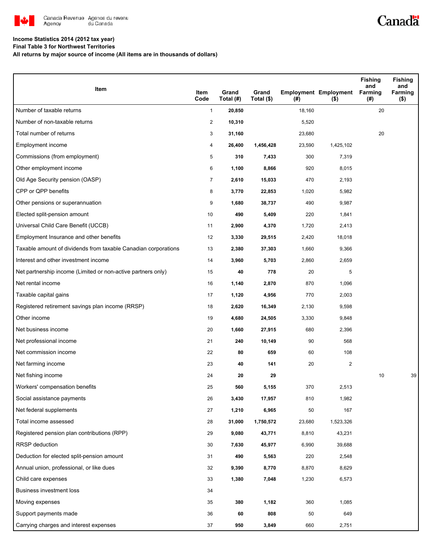

# Canadä

### **Income Statistics 2014 (2012 tax year)**

**Final Table 3 for Northwest Territories**

**All returns by major source of income (All items are in thousands of dollars)**

| Item                                                           | Item<br>Code   | Grand<br>Total (#) | Grand<br>Total (\$) | (#)    | <b>Employment Employment</b><br>$($ \$) | Fishing<br>and<br>Farming<br>(#) | <b>Fishing</b><br>and<br>Farming<br>$($ \$) |
|----------------------------------------------------------------|----------------|--------------------|---------------------|--------|-----------------------------------------|----------------------------------|---------------------------------------------|
| Number of taxable returns                                      | $\mathbf{1}$   | 20,850             |                     | 18,160 |                                         | 20                               |                                             |
| Number of non-taxable returns                                  | $\overline{2}$ | 10,310             |                     | 5,520  |                                         |                                  |                                             |
| Total number of returns                                        | 3              | 31,160             |                     | 23,680 |                                         | 20                               |                                             |
| Employment income                                              | 4              | 26,400             | 1,456,428           | 23,590 | 1,425,102                               |                                  |                                             |
| Commissions (from employment)                                  | 5              | 310                | 7,433               | 300    | 7,319                                   |                                  |                                             |
| Other employment income                                        | 6              | 1,100              | 8,866               | 920    | 8,015                                   |                                  |                                             |
| Old Age Security pension (OASP)                                | 7              | 2,610              | 15,033              | 470    | 2,193                                   |                                  |                                             |
| CPP or QPP benefits                                            | 8              | 3,770              | 22,853              | 1,020  | 5,982                                   |                                  |                                             |
| Other pensions or superannuation                               | 9              | 1,680              | 38,737              | 490    | 9,987                                   |                                  |                                             |
| Elected split-pension amount                                   | 10             | 490                | 5,409               | 220    | 1,841                                   |                                  |                                             |
| Universal Child Care Benefit (UCCB)                            | 11             | 2,900              | 4,370               | 1,720  | 2,413                                   |                                  |                                             |
| Employment Insurance and other benefits                        | 12             | 3,330              | 29,515              | 2,420  | 18,018                                  |                                  |                                             |
| Taxable amount of dividends from taxable Canadian corporations | 13             | 2,380              | 37,303              | 1,660  | 9,366                                   |                                  |                                             |
| Interest and other investment income                           | 14             | 3,960              | 5,703               | 2,860  | 2,659                                   |                                  |                                             |
| Net partnership income (Limited or non-active partners only)   | 15             | 40                 | 778                 | 20     | 5                                       |                                  |                                             |
| Net rental income                                              | 16             | 1,140              | 2,870               | 870    | 1,096                                   |                                  |                                             |
| Taxable capital gains                                          | 17             | 1,120              | 4,956               | 770    | 2,003                                   |                                  |                                             |
| Registered retirement savings plan income (RRSP)               | 18             | 2,620              | 16,349              | 2,130  | 9,598                                   |                                  |                                             |
| Other income                                                   | 19             | 4,680              | 24,505              | 3,330  | 9,848                                   |                                  |                                             |
| Net business income                                            | 20             | 1,660              | 27,915              | 680    | 2,396                                   |                                  |                                             |
| Net professional income                                        | 21             | 240                | 10,149              | 90     | 568                                     |                                  |                                             |
| Net commission income                                          | 22             | 80                 | 659                 | 60     | 108                                     |                                  |                                             |
| Net farming income                                             | 23             | 40                 | 141                 | 20     | $\overline{\mathbf{c}}$                 |                                  |                                             |
| Net fishing income                                             | 24             | 20                 | 29                  |        |                                         | 10                               | 39                                          |
| Workers' compensation benefits                                 | 25             | 560                | 5,155               | 370    | 2,513                                   |                                  |                                             |
| Social assistance payments                                     | 26             | 3,430              | 17,957              | 810    | 1,982                                   |                                  |                                             |
| Net federal supplements                                        | 27             | 1,210              | 6,965               | 50     | 167                                     |                                  |                                             |
| Total income assessed                                          | 28             | 31,000             | 1,750,572           | 23,680 | 1,523,326                               |                                  |                                             |
| Registered pension plan contributions (RPP)                    | 29             | 9,080              | 43,771              | 8,810  | 43,231                                  |                                  |                                             |
| <b>RRSP</b> deduction                                          | 30             | 7,630              | 45,977              | 6,990  | 39,688                                  |                                  |                                             |
| Deduction for elected split-pension amount                     | 31             | 490                | 5,563               | 220    | 2,548                                   |                                  |                                             |
| Annual union, professional, or like dues                       | 32             | 9,390              | 8,770               | 8,870  | 8,629                                   |                                  |                                             |
| Child care expenses                                            | 33             | 1,380              | 7,048               | 1,230  | 6,573                                   |                                  |                                             |
| Business investment loss                                       | 34             |                    |                     |        |                                         |                                  |                                             |
| Moving expenses                                                | 35             | 380                | 1,182               | 360    | 1,085                                   |                                  |                                             |
| Support payments made                                          | 36             | 60                 | 808                 | 50     | 649                                     |                                  |                                             |
| Carrying charges and interest expenses                         | 37             | 950                | 3,849               | 660    | 2,751                                   |                                  |                                             |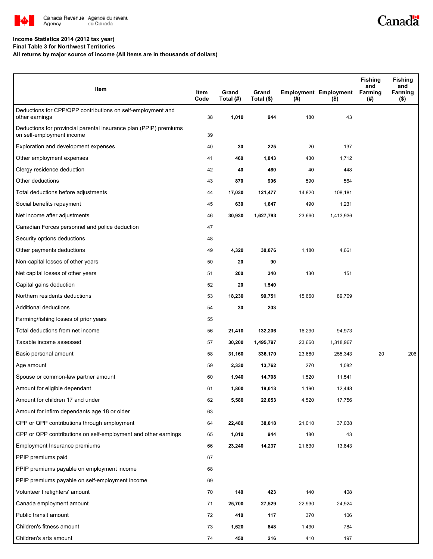

### **Income Statistics 2014 (2012 tax year)**

**Final Table 3 for Northwest Territories**

**All returns by major source of income (All items are in thousands of dollars)**

| Item                                                                                           | Item<br>Code | Grand<br>Total (#) | Grand<br>Total (\$) | $($ #) | <b>Employment Employment</b><br>$($ \$) | Fishing<br>and<br>Farming<br>(#) | <b>Fishing</b><br>and<br>Farming<br>$($ \$) |
|------------------------------------------------------------------------------------------------|--------------|--------------------|---------------------|--------|-----------------------------------------|----------------------------------|---------------------------------------------|
| Deductions for CPP/QPP contributions on self-employment and<br>other earnings                  | 38           | 1,010              | 944                 | 180    | 43                                      |                                  |                                             |
| Deductions for provincial parental insurance plan (PPIP) premiums<br>on self-employment income | 39           |                    |                     |        |                                         |                                  |                                             |
| Exploration and development expenses                                                           | 40           | 30                 | 225                 | 20     | 137                                     |                                  |                                             |
| Other employment expenses                                                                      | 41           | 460                | 1,843               | 430    | 1,712                                   |                                  |                                             |
| Clergy residence deduction                                                                     | 42           | 40                 | 460                 | 40     | 448                                     |                                  |                                             |
| Other deductions                                                                               | 43           | 870                | 906                 | 590    | 564                                     |                                  |                                             |
| Total deductions before adjustments                                                            | 44           | 17,030             | 121,477             | 14,820 | 108,181                                 |                                  |                                             |
| Social benefits repayment                                                                      | 45           | 630                | 1,647               | 490    | 1,231                                   |                                  |                                             |
| Net income after adjustments                                                                   | 46           | 30,930             | 1,627,793           | 23,660 | 1,413,936                               |                                  |                                             |
| Canadian Forces personnel and police deduction                                                 | 47           |                    |                     |        |                                         |                                  |                                             |
| Security options deductions                                                                    | 48           |                    |                     |        |                                         |                                  |                                             |
| Other payments deductions                                                                      | 49           | 4,320              | 30,076              | 1,180  | 4,661                                   |                                  |                                             |
| Non-capital losses of other years                                                              | 50           | 20                 | 90                  |        |                                         |                                  |                                             |
| Net capital losses of other years                                                              | 51           | 200                | 340                 | 130    | 151                                     |                                  |                                             |
| Capital gains deduction                                                                        | 52           | 20                 | 1,540               |        |                                         |                                  |                                             |
| Northern residents deductions                                                                  | 53           | 18,230             | 99,751              | 15,660 | 89,709                                  |                                  |                                             |
| Additional deductions                                                                          | 54           | 30                 | 203                 |        |                                         |                                  |                                             |
| Farming/fishing losses of prior years                                                          | 55           |                    |                     |        |                                         |                                  |                                             |
| Total deductions from net income                                                               | 56           | 21,410             | 132,206             | 16,290 | 94,973                                  |                                  |                                             |
| Taxable income assessed                                                                        | 57           | 30,200             | 1,495,797           | 23,660 | 1,318,967                               |                                  |                                             |
| Basic personal amount                                                                          | 58           | 31,160             | 336,170             | 23,680 | 255,343                                 | 20                               | 206                                         |
| Age amount                                                                                     | 59           | 2,330              | 13,762              | 270    | 1,082                                   |                                  |                                             |
| Spouse or common-law partner amount                                                            | 60           | 1,940              | 14,708              | 1,520  | 11,541                                  |                                  |                                             |
| Amount for eligible dependant                                                                  | 61           | 1,800              | 19,013              | 1,190  | 12,448                                  |                                  |                                             |
| Amount for children 17 and under                                                               | 62           | 5,580              | 22,053              | 4,520  | 17,756                                  |                                  |                                             |
| Amount for infirm dependants age 18 or older                                                   | 63           |                    |                     |        |                                         |                                  |                                             |
| CPP or QPP contributions through employment                                                    | 64           | 22,480             | 38,018              | 21,010 | 37,038                                  |                                  |                                             |
| CPP or QPP contributions on self-employment and other earnings                                 | 65           | 1,010              | 944                 | 180    | 43                                      |                                  |                                             |
| Employment Insurance premiums                                                                  | 66           | 23,240             | 14,237              | 21,630 | 13,843                                  |                                  |                                             |
| PPIP premiums paid                                                                             | 67           |                    |                     |        |                                         |                                  |                                             |
| PPIP premiums payable on employment income                                                     | 68           |                    |                     |        |                                         |                                  |                                             |
| PPIP premiums payable on self-employment income                                                | 69           |                    |                     |        |                                         |                                  |                                             |
| Volunteer firefighters' amount                                                                 | 70           | 140                | 423                 | 140    | 408                                     |                                  |                                             |
| Canada employment amount                                                                       | 71           | 25,700             | 27,529              | 22,930 | 24,924                                  |                                  |                                             |
| Public transit amount                                                                          | 72           | 410                | 117                 | 370    | 106                                     |                                  |                                             |
| Children's fitness amount                                                                      | 73           | 1,620              | 848                 | 1,490  | 784                                     |                                  |                                             |
| Children's arts amount                                                                         | 74           | 450                | 216                 | 410    | 197                                     |                                  |                                             |

Canadä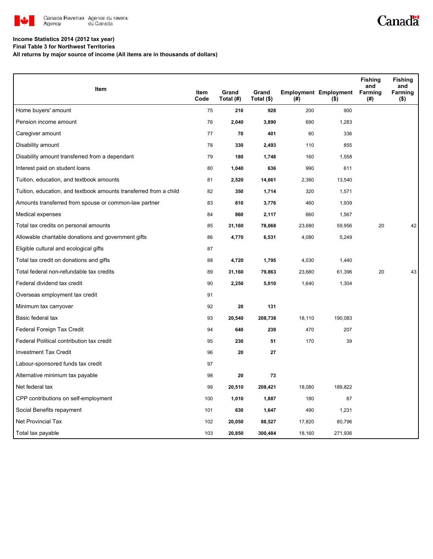

## Canadä

#### **Income Statistics 2014 (2012 tax year)**

**Final Table 3 for Northwest Territories**

**All returns by major source of income (All items are in thousands of dollars)**

|                                                                   |              |                    |                     |        |                                         | <b>Fishing</b><br>and | <b>Fishing</b><br>and |
|-------------------------------------------------------------------|--------------|--------------------|---------------------|--------|-----------------------------------------|-----------------------|-----------------------|
| Item                                                              | Item<br>Code | Grand<br>Total (#) | Grand<br>Total (\$) | (#)    | <b>Employment Employment</b><br>$($ \$) | Farming<br>(#)        | Farming<br>$($ \$)    |
| Home buyers' amount                                               | 75           | 210                | 928                 | 200    | 900                                     |                       |                       |
| Pension income amount                                             | 76           | 2,040              | 3,890               | 690    | 1,283                                   |                       |                       |
| Caregiver amount                                                  | 77           | 70                 | 401                 | 60     | 336                                     |                       |                       |
| Disability amount                                                 | 78           | 330                | 2,493               | 110    | 855                                     |                       |                       |
| Disability amount transferred from a dependant                    | 79           | 180                | 1,748               | 160    | 1,558                                   |                       |                       |
| Interest paid on student loans                                    | 80           | 1,040              | 636                 | 990    | 611                                     |                       |                       |
| Tuition, education, and textbook amounts                          | 81           | 2,520              | 14,661              | 2,360  | 13,540                                  |                       |                       |
| Tuition, education, and textbook amounts transferred from a child | 82           | 350                | 1,714               | 320    | 1,571                                   |                       |                       |
| Amounts transferred from spouse or common-law partner             | 83           | 810                | 3,776               | 460    | 1,939                                   |                       |                       |
| Medical expenses                                                  | 84           | 860                | 2,117               | 660    | 1,567                                   |                       |                       |
| Total tax credits on personal amounts                             | 85           | 31,160             | 78,068              | 23,680 | 59,956                                  | 20                    | 42                    |
| Allowable charitable donations and government gifts               | 86           | 4,770              | 6,531               | 4,080  | 5,249                                   |                       |                       |
| Eligible cultural and ecological gifts                            | 87           |                    |                     |        |                                         |                       |                       |
| Total tax credit on donations and gifts                           | 88           | 4,720              | 1,795               | 4,030  | 1,440                                   |                       |                       |
| Total federal non-refundable tax credits                          | 89           | 31,160             | 79,863              | 23,680 | 61,396                                  | 20                    | 43                    |
| Federal dividend tax credit                                       | 90           | 2,250              | 5,010               | 1,640  | 1,304                                   |                       |                       |
| Overseas employment tax credit                                    | 91           |                    |                     |        |                                         |                       |                       |
| Minimum tax carryover                                             | 92           | 20                 | 131                 |        |                                         |                       |                       |
| Basic federal tax                                                 | 93           | 20,540             | 208,738             | 18,110 | 190,083                                 |                       |                       |
| Federal Foreign Tax Credit                                        | 94           | 640                | 239                 | 470    | 207                                     |                       |                       |
| Federal Political contribution tax credit                         | 95           | 230                | 51                  | 170    | 39                                      |                       |                       |
| <b>Investment Tax Credit</b>                                      | 96           | 20                 | 27                  |        |                                         |                       |                       |
| Labour-sponsored funds tax credit                                 | 97           |                    |                     |        |                                         |                       |                       |
| Alternative minimum tax payable                                   | 98           | 20                 | 73                  |        |                                         |                       |                       |
| Net federal tax                                                   | 99           | 20,510             | 208,421             | 18,080 | 189,822                                 |                       |                       |
| CPP contributions on self-employment                              | 100          | 1,010              | 1,887               | 180    | 87                                      |                       |                       |
| Social Benefits repayment                                         | 101          | 630                | 1,647               | 490    | 1,231                                   |                       |                       |
| <b>Net Provincial Tax</b>                                         | 102          | 20,050             | 88,527              | 17,820 | 80,796                                  |                       |                       |
| Total tax payable                                                 | 103          | 20,850             | 300,484             | 18,160 | 271,936                                 |                       |                       |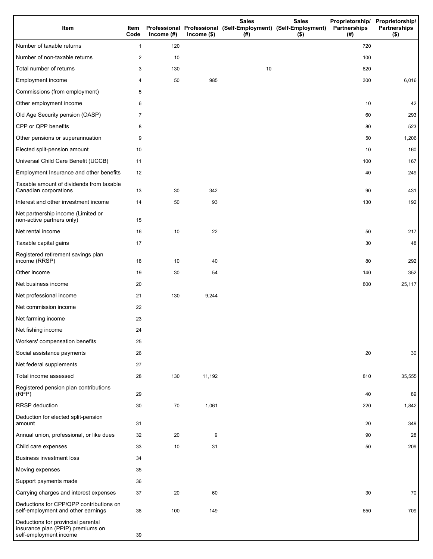| Item                                                                                              | Item<br>Code   | Income $(\#)$ | $Income$ (\$) | <b>Sales</b><br>Professional Professional (Self-Employment) (Self-Employment)<br>(#) | <b>Sales</b><br>$($ \$) | Partnerships<br>(# ) | Proprietorship/ Proprietorship/<br><b>Partnerships</b><br>$($ \$) |
|---------------------------------------------------------------------------------------------------|----------------|---------------|---------------|--------------------------------------------------------------------------------------|-------------------------|----------------------|-------------------------------------------------------------------|
| Number of taxable returns                                                                         | $\mathbf{1}$   | 120           |               |                                                                                      |                         | 720                  |                                                                   |
| Number of non-taxable returns                                                                     | $\overline{c}$ | 10            |               |                                                                                      |                         | 100                  |                                                                   |
| Total number of returns                                                                           | 3              | 130           |               | 10                                                                                   |                         | 820                  |                                                                   |
| Employment income                                                                                 | 4              | 50            | 985           |                                                                                      |                         | 300                  | 6,016                                                             |
| Commissions (from employment)                                                                     | 5              |               |               |                                                                                      |                         |                      |                                                                   |
| Other employment income                                                                           | 6              |               |               |                                                                                      |                         | 10                   | 42                                                                |
| Old Age Security pension (OASP)                                                                   | 7              |               |               |                                                                                      |                         | 60                   | 293                                                               |
| CPP or QPP benefits                                                                               | 8              |               |               |                                                                                      |                         | 80                   | 523                                                               |
| Other pensions or superannuation                                                                  | 9              |               |               |                                                                                      |                         | 50                   | 1,206                                                             |
| Elected split-pension amount                                                                      | 10             |               |               |                                                                                      |                         | 10                   | 160                                                               |
| Universal Child Care Benefit (UCCB)                                                               | 11             |               |               |                                                                                      |                         | 100                  | 167                                                               |
| Employment Insurance and other benefits                                                           | 12             |               |               |                                                                                      |                         | 40                   | 249                                                               |
| Taxable amount of dividends from taxable<br>Canadian corporations                                 | 13             | 30            | 342           |                                                                                      |                         | 90                   | 431                                                               |
| Interest and other investment income                                                              | 14             | 50            | 93            |                                                                                      |                         | 130                  | 192                                                               |
| Net partnership income (Limited or<br>non-active partners only)                                   | 15             |               |               |                                                                                      |                         |                      |                                                                   |
| Net rental income                                                                                 | 16             | 10            | 22            |                                                                                      |                         | 50                   | 217                                                               |
| Taxable capital gains                                                                             | 17             |               |               |                                                                                      |                         | 30                   | 48                                                                |
| Registered retirement savings plan<br>income (RRSP)                                               | 18             | 10            | 40            |                                                                                      |                         | 80                   | 292                                                               |
| Other income                                                                                      | 19             | 30            | 54            |                                                                                      |                         | 140                  | 352                                                               |
| Net business income                                                                               | 20             |               |               |                                                                                      |                         | 800                  | 25,117                                                            |
| Net professional income                                                                           | 21             | 130           | 9,244         |                                                                                      |                         |                      |                                                                   |
| Net commission income                                                                             | 22             |               |               |                                                                                      |                         |                      |                                                                   |
| Net farming income                                                                                | 23             |               |               |                                                                                      |                         |                      |                                                                   |
| Net fishing income                                                                                | 24             |               |               |                                                                                      |                         |                      |                                                                   |
| Workers' compensation benefits                                                                    | 25             |               |               |                                                                                      |                         |                      |                                                                   |
| Social assistance payments                                                                        | 26             |               |               |                                                                                      |                         | 20                   | 30                                                                |
| Net federal supplements                                                                           | 27             |               |               |                                                                                      |                         |                      |                                                                   |
| Total income assessed                                                                             | 28             | 130           | 11,192        |                                                                                      |                         | 810                  | 35,555                                                            |
| Registered pension plan contributions<br>(RPP)                                                    | 29             |               |               |                                                                                      |                         | 40                   | 89                                                                |
| RRSP deduction                                                                                    | 30             | 70            | 1,061         |                                                                                      |                         | 220                  | 1,842                                                             |
| Deduction for elected split-pension<br>amount                                                     | 31             |               |               |                                                                                      |                         | 20                   | 349                                                               |
| Annual union, professional, or like dues                                                          | 32             | 20            | 9             |                                                                                      |                         | 90                   | 28                                                                |
| Child care expenses                                                                               | 33             | 10            | 31            |                                                                                      |                         | 50                   | 209                                                               |
| Business investment loss                                                                          | 34             |               |               |                                                                                      |                         |                      |                                                                   |
| Moving expenses                                                                                   | 35             |               |               |                                                                                      |                         |                      |                                                                   |
| Support payments made                                                                             | 36             |               |               |                                                                                      |                         |                      |                                                                   |
| Carrying charges and interest expenses                                                            | 37             | 20            | 60            |                                                                                      |                         | 30                   | 70                                                                |
| Deductions for CPP/QPP contributions on<br>self-employment and other earnings                     | 38             | 100           | 149           |                                                                                      |                         | 650                  | 709                                                               |
| Deductions for provincial parental<br>insurance plan (PPIP) premiums on<br>self-employment income | 39             |               |               |                                                                                      |                         |                      |                                                                   |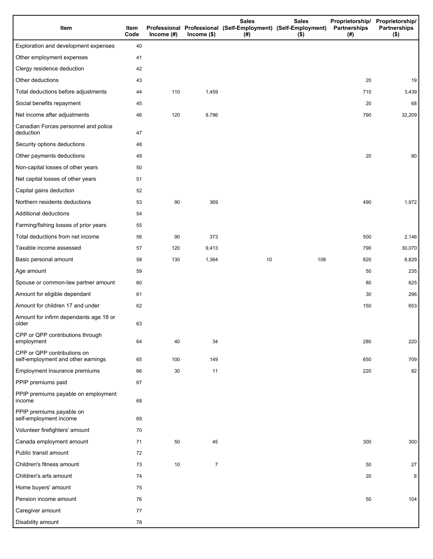| Item                                                              | Item<br>Code | Income $(\#)$ | Income $($)$   | <b>Sales</b><br><b>Sales</b><br>Professional Professional (Self-Employment) (Self-Employment)<br>$($ \$)<br>(#) |     | Partnerships<br>(#) | Proprietorship/ Proprietorship/<br><b>Partnerships</b><br>$($ \$) |
|-------------------------------------------------------------------|--------------|---------------|----------------|-----------------------------------------------------------------------------------------------------------------|-----|---------------------|-------------------------------------------------------------------|
| Exploration and development expenses                              | 40           |               |                |                                                                                                                 |     |                     |                                                                   |
| Other employment expenses                                         | 41           |               |                |                                                                                                                 |     |                     |                                                                   |
| Clergy residence deduction                                        | 42           |               |                |                                                                                                                 |     |                     |                                                                   |
| Other deductions                                                  | 43           |               |                |                                                                                                                 |     | 20                  | 19                                                                |
| Total deductions before adjustments                               | 44           | 110           | 1,459          |                                                                                                                 |     | 710                 | 3,439                                                             |
| Social benefits repayment                                         | 45           |               |                |                                                                                                                 |     | 20                  | 68                                                                |
| Net income after adjustments                                      | 46           | 120           | 9,786          |                                                                                                                 |     | 790                 | 32,209                                                            |
| Canadian Forces personnel and police<br>deduction                 | 47           |               |                |                                                                                                                 |     |                     |                                                                   |
| Security options deductions                                       | 48           |               |                |                                                                                                                 |     |                     |                                                                   |
| Other payments deductions                                         | 49           |               |                |                                                                                                                 |     | 20                  | 80                                                                |
| Non-capital losses of other years                                 | 50           |               |                |                                                                                                                 |     |                     |                                                                   |
| Net capital losses of other years                                 | 51           |               |                |                                                                                                                 |     |                     |                                                                   |
| Capital gains deduction                                           | 52           |               |                |                                                                                                                 |     |                     |                                                                   |
| Northern residents deductions                                     | 53           | 90            | 369            |                                                                                                                 |     | 490                 | 1,972                                                             |
| Additional deductions                                             | 54           |               |                |                                                                                                                 |     |                     |                                                                   |
| Farming/fishing losses of prior years                             | 55           |               |                |                                                                                                                 |     |                     |                                                                   |
| Total deductions from net income                                  | 56           | 90            | 373            |                                                                                                                 |     | 500                 | 2,146                                                             |
| Taxable income assessed                                           | 57           | 120           | 9,413          |                                                                                                                 |     | 790                 | 30,070                                                            |
| Basic personal amount                                             | 58           | 130           | 1,364          | 10                                                                                                              | 108 | 820                 | 8,829                                                             |
| Age amount                                                        | 59           |               |                |                                                                                                                 |     | 50                  | 235                                                               |
| Spouse or common-law partner amount                               | 60           |               |                |                                                                                                                 |     | 80                  | 625                                                               |
| Amount for eligible dependant                                     | 61           |               |                |                                                                                                                 |     | 30                  | 296                                                               |
| Amount for children 17 and under                                  | 62           |               |                |                                                                                                                 |     | 150                 | 653                                                               |
| Amount for infirm dependants age 18 or<br>older                   | 63           |               |                |                                                                                                                 |     |                     |                                                                   |
| CPP or QPP contributions through<br>employment                    | 64           | 40            | 34             |                                                                                                                 |     | 280                 | 220                                                               |
| CPP or QPP contributions on<br>self-employment and other earnings | 65           | 100           | 149            |                                                                                                                 |     | 650                 | 709                                                               |
| Employment Insurance premiums                                     | 66           | 30            | 11             |                                                                                                                 |     | 220                 | 82                                                                |
| PPIP premiums paid                                                | 67           |               |                |                                                                                                                 |     |                     |                                                                   |
| PPIP premiums payable on employment<br>income                     | 68           |               |                |                                                                                                                 |     |                     |                                                                   |
| PPIP premiums payable on<br>self-employment income                | 69           |               |                |                                                                                                                 |     |                     |                                                                   |
| Volunteer firefighters' amount                                    | 70           |               |                |                                                                                                                 |     |                     |                                                                   |
| Canada employment amount                                          | 71           | 50            | 45             |                                                                                                                 |     | 300                 | 300                                                               |
| Public transit amount                                             | 72           |               |                |                                                                                                                 |     |                     |                                                                   |
| Children's fitness amount                                         | 73           | 10            | $\overline{7}$ |                                                                                                                 |     | 50                  | 27                                                                |
| Children's arts amount                                            | 74           |               |                |                                                                                                                 |     | 20                  | 8                                                                 |
| Home buyers' amount                                               | 75           |               |                |                                                                                                                 |     |                     |                                                                   |
| Pension income amount                                             | 76           |               |                |                                                                                                                 |     | 50                  | 104                                                               |
| Caregiver amount                                                  | 77           |               |                |                                                                                                                 |     |                     |                                                                   |
| Disability amount                                                 | 78           |               |                |                                                                                                                 |     |                     |                                                                   |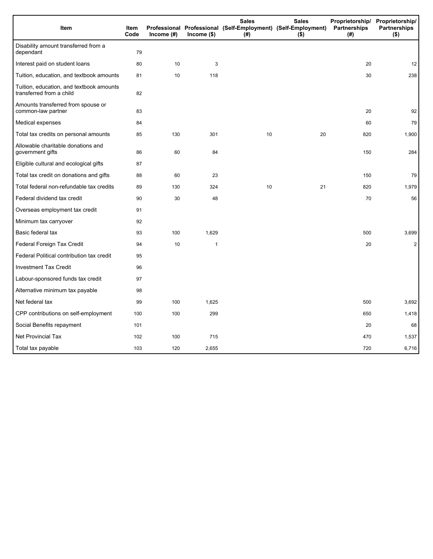| Item                                                                 | <b>Item</b><br>Code | Income (#) | $lncome$ (\$) | <b>Sales</b><br>Professional Professional (Self-Employment) (Self-Employment)<br>(#) | <b>Sales</b><br>$($ \$) | Partnerships<br>(#) | Proprietorship/ Proprietorship/<br><b>Partnerships</b><br>$($ \$) |
|----------------------------------------------------------------------|---------------------|------------|---------------|--------------------------------------------------------------------------------------|-------------------------|---------------------|-------------------------------------------------------------------|
| Disability amount transferred from a<br>dependant                    | 79                  |            |               |                                                                                      |                         |                     |                                                                   |
| Interest paid on student loans                                       | 80                  | 10         | 3             |                                                                                      |                         | 20                  | 12                                                                |
| Tuition, education, and textbook amounts                             | 81                  | 10         | 118           |                                                                                      |                         | 30                  | 238                                                               |
| Tuition, education, and textbook amounts<br>transferred from a child | 82                  |            |               |                                                                                      |                         |                     |                                                                   |
| Amounts transferred from spouse or<br>common-law partner             | 83                  |            |               |                                                                                      |                         | 20                  | 92                                                                |
| Medical expenses                                                     | 84                  |            |               |                                                                                      |                         | 60                  | 79                                                                |
| Total tax credits on personal amounts                                | 85                  | 130        | 301           | 10                                                                                   | 20                      | 820                 | 1,900                                                             |
| Allowable charitable donations and<br>government gifts               | 86                  | 60         | 84            |                                                                                      |                         | 150                 | 284                                                               |
| Eligible cultural and ecological gifts                               | 87                  |            |               |                                                                                      |                         |                     |                                                                   |
| Total tax credit on donations and gifts                              | 88                  | 60         | 23            |                                                                                      |                         | 150                 | 79                                                                |
| Total federal non-refundable tax credits                             | 89                  | 130        | 324           | 10                                                                                   | 21                      | 820                 | 1,979                                                             |
| Federal dividend tax credit                                          | 90                  | 30         | 48            |                                                                                      |                         | 70                  | 56                                                                |
| Overseas employment tax credit                                       | 91                  |            |               |                                                                                      |                         |                     |                                                                   |
| Minimum tax carryover                                                | 92                  |            |               |                                                                                      |                         |                     |                                                                   |
| Basic federal tax                                                    | 93                  | 100        | 1,629         |                                                                                      |                         | 500                 | 3,699                                                             |
| Federal Foreign Tax Credit                                           | 94                  | 10         | $\mathbf{1}$  |                                                                                      |                         | 20                  | $\overline{2}$                                                    |
| Federal Political contribution tax credit                            | 95                  |            |               |                                                                                      |                         |                     |                                                                   |
| <b>Investment Tax Credit</b>                                         | 96                  |            |               |                                                                                      |                         |                     |                                                                   |
| Labour-sponsored funds tax credit                                    | 97                  |            |               |                                                                                      |                         |                     |                                                                   |
| Alternative minimum tax payable                                      | 98                  |            |               |                                                                                      |                         |                     |                                                                   |
| Net federal tax                                                      | 99                  | 100        | 1,625         |                                                                                      |                         | 500                 | 3,692                                                             |
| CPP contributions on self-employment                                 | 100                 | 100        | 299           |                                                                                      |                         | 650                 | 1,418                                                             |
| Social Benefits repayment                                            | 101                 |            |               |                                                                                      |                         | 20                  | 68                                                                |
| <b>Net Provincial Tax</b>                                            | 102                 | 100        | 715           |                                                                                      |                         | 470                 | 1,537                                                             |
| Total tax payable                                                    | 103                 | 120        | 2,655         |                                                                                      |                         | 720                 | 6,716                                                             |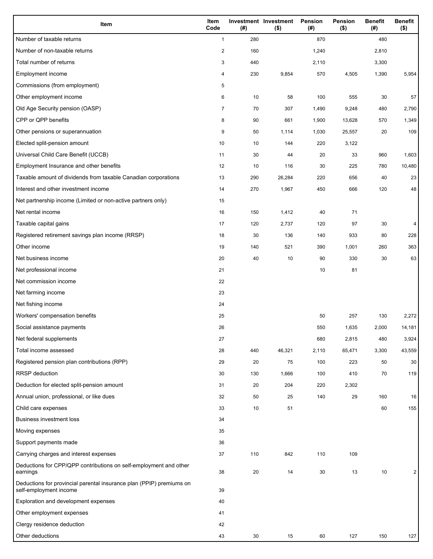| Item                                                                                           | Item<br>Code            | (#) | Investment Investment<br>$($ \$) | Pension<br>(#) | Pension<br>$($ \$) | <b>Benefit</b><br>(#) | <b>Benefit</b><br>$($ \$) |
|------------------------------------------------------------------------------------------------|-------------------------|-----|----------------------------------|----------------|--------------------|-----------------------|---------------------------|
| Number of taxable returns                                                                      | $\mathbf{1}$            | 280 |                                  | 870            |                    | 480                   |                           |
| Number of non-taxable returns                                                                  | $\overline{\mathbf{c}}$ | 160 |                                  | 1,240          |                    | 2,810                 |                           |
| Total number of returns                                                                        | 3                       | 440 |                                  | 2,110          |                    | 3,300                 |                           |
| Employment income                                                                              | 4                       | 230 | 9,854                            | 570            | 4,505              | 1,390                 | 5,954                     |
| Commissions (from employment)                                                                  | 5                       |     |                                  |                |                    |                       |                           |
| Other employment income                                                                        | 6                       | 10  | 58                               | 100            | 555                | 30                    | 57                        |
| Old Age Security pension (OASP)                                                                | $\overline{7}$          | 70  | 307                              | 1,490          | 9,248              | 480                   | 2,790                     |
| CPP or QPP benefits                                                                            | 8                       | 90  | 661                              | 1,900          | 13,628             | 570                   | 1,349                     |
| Other pensions or superannuation                                                               | 9                       | 50  | 1,114                            | 1,030          | 25,557             | 20                    | 109                       |
| Elected split-pension amount                                                                   | 10                      | 10  | 144                              | 220            | 3,122              |                       |                           |
| Universal Child Care Benefit (UCCB)                                                            | 11                      | 30  | 44                               | 20             | 33                 | 960                   | 1,603                     |
| Employment Insurance and other benefits                                                        | 12                      | 10  | 116                              | 30             | 225                | 780                   | 10,480                    |
| Taxable amount of dividends from taxable Canadian corporations                                 | 13                      | 290 | 26,284                           | 220            | 656                | 40                    | 23                        |
| Interest and other investment income                                                           | 14                      | 270 | 1,967                            | 450            | 666                | 120                   | 48                        |
| Net partnership income (Limited or non-active partners only)                                   | 15                      |     |                                  |                |                    |                       |                           |
| Net rental income                                                                              | 16                      | 150 | 1,412                            | 40             | 71                 |                       |                           |
| Taxable capital gains                                                                          | 17                      | 120 | 2,737                            | 120            | 97                 | 30                    | 4                         |
| Registered retirement savings plan income (RRSP)                                               | 18                      | 30  | 136                              | 140            | 933                | 80                    | 228                       |
| Other income                                                                                   | 19                      | 140 | 521                              | 390            | 1,001              | 260                   | 363                       |
| Net business income                                                                            | 20                      | 40  | 10                               | 90             | 330                | 30                    | 63                        |
| Net professional income                                                                        | 21                      |     |                                  | 10             | 81                 |                       |                           |
| Net commission income                                                                          | 22                      |     |                                  |                |                    |                       |                           |
| Net farming income                                                                             | 23                      |     |                                  |                |                    |                       |                           |
| Net fishing income                                                                             | 24                      |     |                                  |                |                    |                       |                           |
| Workers' compensation benefits                                                                 | 25                      |     |                                  | 50             | 257                | 130                   | 2,272                     |
| Social assistance payments                                                                     | 26                      |     |                                  | 550            | 1,635              | 2,000                 | 14,181                    |
| Net federal supplements                                                                        | 27                      |     |                                  | 680            | 2,815              | 480                   | 3,924                     |
| Total income assessed                                                                          | 28                      | 440 | 46,321                           | 2,110          | 65,471             | 3,300                 | 43,559                    |
| Registered pension plan contributions (RPP)                                                    | 29                      | 20  | 75                               | 100            | 223                | 50                    | 30                        |
| <b>RRSP</b> deduction                                                                          | 30                      | 130 | 1,666                            | 100            | 410                | 70                    | 119                       |
| Deduction for elected split-pension amount                                                     | 31                      | 20  | 204                              | 220            | 2,302              |                       |                           |
| Annual union, professional, or like dues                                                       | 32                      | 50  | 25                               | 140            | 29                 | 160                   | 16                        |
| Child care expenses                                                                            | 33                      | 10  | 51                               |                |                    | 60                    | 155                       |
| <b>Business investment loss</b>                                                                | 34                      |     |                                  |                |                    |                       |                           |
| Moving expenses                                                                                | 35                      |     |                                  |                |                    |                       |                           |
| Support payments made                                                                          | 36                      |     |                                  |                |                    |                       |                           |
| Carrying charges and interest expenses                                                         | 37                      | 110 | 842                              | 110            | 109                |                       |                           |
| Deductions for CPP/QPP contributions on self-employment and other<br>earnings                  | 38                      | 20  | 14                               | 30             | 13                 | 10                    | 2                         |
| Deductions for provincial parental insurance plan (PPIP) premiums on<br>self-employment income | 39                      |     |                                  |                |                    |                       |                           |
| Exploration and development expenses                                                           | 40                      |     |                                  |                |                    |                       |                           |
| Other employment expenses                                                                      | 41                      |     |                                  |                |                    |                       |                           |
| Clergy residence deduction                                                                     | 42                      |     |                                  |                |                    |                       |                           |
| Other deductions                                                                               | 43                      | 30  | 15                               | 60             | 127                | 150                   | 127                       |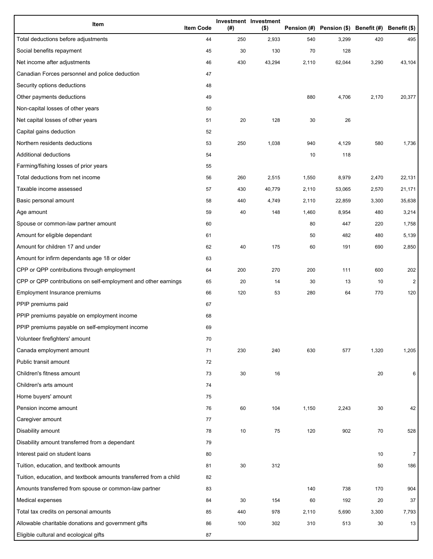| Item                                                              | <b>Item Code</b> | (#) | Investment Investment<br>$($ \$) |       | Pension (#) Pension (\$) Benefit (#) Benefit (\$) |       |                |
|-------------------------------------------------------------------|------------------|-----|----------------------------------|-------|---------------------------------------------------|-------|----------------|
| Total deductions before adjustments                               | 44               | 250 | 2,933                            | 540   | 3,299                                             | 420   | 495            |
| Social benefits repayment                                         | 45               | 30  | 130                              | 70    | 128                                               |       |                |
| Net income after adjustments                                      | 46               | 430 | 43,294                           | 2,110 | 62,044                                            | 3,290 | 43,104         |
| Canadian Forces personnel and police deduction                    | 47               |     |                                  |       |                                                   |       |                |
| Security options deductions                                       | 48               |     |                                  |       |                                                   |       |                |
| Other payments deductions                                         | 49               |     |                                  | 880   | 4,706                                             | 2,170 | 20,377         |
| Non-capital losses of other years                                 | 50               |     |                                  |       |                                                   |       |                |
| Net capital losses of other years                                 | 51               | 20  | 128                              | 30    | 26                                                |       |                |
| Capital gains deduction                                           | 52               |     |                                  |       |                                                   |       |                |
| Northern residents deductions                                     | 53               | 250 | 1,038                            | 940   | 4,129                                             | 580   | 1,736          |
| Additional deductions                                             | 54               |     |                                  | 10    | 118                                               |       |                |
| Farming/fishing losses of prior years                             | 55               |     |                                  |       |                                                   |       |                |
| Total deductions from net income                                  | 56               | 260 | 2,515                            | 1,550 | 8,979                                             | 2,470 | 22,131         |
| Taxable income assessed                                           | 57               | 430 | 40,779                           | 2,110 | 53,065                                            | 2,570 | 21,171         |
| Basic personal amount                                             | 58               | 440 | 4,749                            | 2,110 | 22,859                                            | 3,300 | 35,638         |
| Age amount                                                        | 59               | 40  | 148                              | 1,460 | 8,954                                             | 480   | 3,214          |
| Spouse or common-law partner amount                               | 60               |     |                                  | 80    | 447                                               | 220   | 1,758          |
| Amount for eligible dependant                                     | 61               |     |                                  | 50    | 482                                               | 480   | 5,139          |
| Amount for children 17 and under                                  | 62               | 40  | 175                              | 60    | 191                                               | 690   | 2,850          |
| Amount for infirm dependants age 18 or older                      | 63               |     |                                  |       |                                                   |       |                |
| CPP or QPP contributions through employment                       | 64               | 200 | 270                              | 200   | 111                                               | 600   | 202            |
| CPP or QPP contributions on self-employment and other earnings    | 65               | 20  | 14                               | 30    | 13                                                | 10    | $\mathbf{2}$   |
| Employment Insurance premiums                                     | 66               | 120 | 53                               | 280   | 64                                                | 770   | 120            |
| PPIP premiums paid                                                | 67               |     |                                  |       |                                                   |       |                |
| PPIP premiums payable on employment income                        | 68               |     |                                  |       |                                                   |       |                |
| PPIP premiums payable on self-employment income                   | 69               |     |                                  |       |                                                   |       |                |
| Volunteer firefighters' amount                                    | 70               |     |                                  |       |                                                   |       |                |
| Canada employment amount                                          | 71               | 230 | 240                              | 630   | 577                                               | 1,320 | 1,205          |
| Public transit amount                                             | 72               |     |                                  |       |                                                   |       |                |
| Children's fitness amount                                         | 73               | 30  | 16                               |       |                                                   | 20    | 6              |
| Children's arts amount                                            | 74               |     |                                  |       |                                                   |       |                |
| Home buyers' amount                                               | 75               |     |                                  |       |                                                   |       |                |
| Pension income amount                                             | 76               | 60  | 104                              | 1,150 | 2,243                                             | 30    | 42             |
| Caregiver amount                                                  | 77               |     |                                  |       |                                                   |       |                |
| Disability amount                                                 | 78               | 10  | 75                               | 120   | 902                                               | 70    | 528            |
| Disability amount transferred from a dependant                    | 79               |     |                                  |       |                                                   |       |                |
| Interest paid on student loans                                    | 80               |     |                                  |       |                                                   | 10    | $\overline{7}$ |
| Tuition, education, and textbook amounts                          | 81               | 30  | 312                              |       |                                                   | 50    | 186            |
| Tuition, education, and textbook amounts transferred from a child | 82               |     |                                  |       |                                                   |       |                |
| Amounts transferred from spouse or common-law partner             | 83               |     |                                  | 140   | 738                                               | 170   | 904            |
| Medical expenses                                                  | 84               | 30  | 154                              | 60    | 192                                               | 20    | 37             |
| Total tax credits on personal amounts                             | 85               | 440 | 978                              | 2,110 | 5,690                                             | 3,300 | 7,793          |
| Allowable charitable donations and government gifts               | 86               | 100 | 302                              | 310   | 513                                               | 30    | 13             |
| Eligible cultural and ecological gifts                            | 87               |     |                                  |       |                                                   |       |                |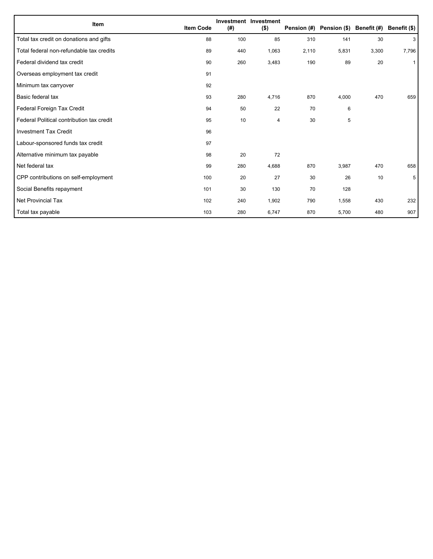| Item                                      | <b>Item Code</b> | (#) | Investment Investment<br>$($ \$) |       | Pension (#) Pension (\$) Benefit (#) |       | Benefit (\$) |
|-------------------------------------------|------------------|-----|----------------------------------|-------|--------------------------------------|-------|--------------|
| Total tax credit on donations and gifts   | 88               | 100 | 85                               | 310   | 141                                  | 30    | 3            |
| Total federal non-refundable tax credits  | 89               | 440 | 1,063                            | 2,110 | 5,831                                | 3,300 | 7,796        |
| Federal dividend tax credit               | 90               | 260 | 3,483                            | 190   | 89                                   | 20    | $\mathbf{1}$ |
| Overseas employment tax credit            | 91               |     |                                  |       |                                      |       |              |
| Minimum tax carryover                     | 92               |     |                                  |       |                                      |       |              |
| Basic federal tax                         | 93               | 280 | 4,716                            | 870   | 4,000                                | 470   | 659          |
| Federal Foreign Tax Credit                | 94               | 50  | 22                               | 70    | 6                                    |       |              |
| Federal Political contribution tax credit | 95               | 10  | 4                                | 30    | 5                                    |       |              |
| <b>Investment Tax Credit</b>              | 96               |     |                                  |       |                                      |       |              |
| Labour-sponsored funds tax credit         | 97               |     |                                  |       |                                      |       |              |
| Alternative minimum tax payable           | 98               | 20  | 72                               |       |                                      |       |              |
| Net federal tax                           | 99               | 280 | 4,688                            | 870   | 3,987                                | 470   | 658          |
| CPP contributions on self-employment      | 100              | 20  | 27                               | 30    | 26                                   | 10    | 5            |
| Social Benefits repayment                 | 101              | 30  | 130                              | 70    | 128                                  |       |              |
| <b>Net Provincial Tax</b>                 | 102              | 240 | 1,902                            | 790   | 1,558                                | 430   | 232          |
| Total tax payable                         | 103              | 280 | 6,747                            | 870   | 5,700                                | 480   | 907          |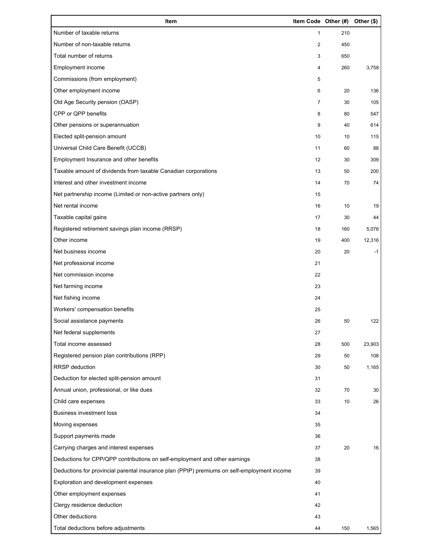| Item                                                                                        | Item Code Other (#) |     | Other (\$) |
|---------------------------------------------------------------------------------------------|---------------------|-----|------------|
| Number of taxable returns                                                                   | $\mathbf{1}$        | 210 |            |
| Number of non-taxable returns                                                               | 2                   | 450 |            |
| Total number of returns                                                                     | 3                   | 650 |            |
| Employment income                                                                           | 4                   | 260 | 3,758      |
| Commissions (from employment)                                                               | 5                   |     |            |
| Other employment income                                                                     | 6                   | 20  | 136        |
| Old Age Security pension (OASP)                                                             | $\overline{7}$      | 30  | 105        |
| CPP or QPP benefits                                                                         | 8                   | 80  | 547        |
| Other pensions or superannuation                                                            | 9                   | 40  | 614        |
| Elected split-pension amount                                                                | 10                  | 10  | 115        |
| Universal Child Care Benefit (UCCB)                                                         | 11                  | 60  | 88         |
| Employment Insurance and other benefits                                                     | 12                  | 30  | 309        |
| Taxable amount of dividends from taxable Canadian corporations                              | 13                  | 50  | 200        |
| Interest and other investment income                                                        | 14                  | 70  | 74         |
| Net partnership income (Limited or non-active partners only)                                | 15                  |     |            |
| Net rental income                                                                           | 16                  | 10  | 19         |
| Taxable capital gains                                                                       | 17                  | 30  | 44         |
| Registered retirement savings plan income (RRSP)                                            | 18                  | 160 | 5,076      |
| Other income                                                                                | 19                  | 400 | 12,316     |
| Net business income                                                                         | 20                  | 20  | $-1$       |
| Net professional income                                                                     | 21                  |     |            |
| Net commission income                                                                       | 22                  |     |            |
| Net farming income                                                                          | 23                  |     |            |
| Net fishing income                                                                          | 24                  |     |            |
| Workers' compensation benefits                                                              | 25                  |     |            |
| Social assistance payments                                                                  | 26                  | 50  | 122        |
| Net federal supplements                                                                     | 27                  |     |            |
| Total income assessed                                                                       | 28                  | 500 | 23,903     |
| Registered pension plan contributions (RPP)                                                 | 29                  | 50  | 108        |
| RRSP deduction                                                                              | 30                  | 50  | 1,165      |
| Deduction for elected split-pension amount                                                  | 31                  |     |            |
| Annual union, professional, or like dues                                                    | 32                  | 70  | 30         |
| Child care expenses                                                                         | 33                  | 10  | 26         |
| <b>Business investment loss</b>                                                             | 34                  |     |            |
| Moving expenses                                                                             | 35                  |     |            |
| Support payments made                                                                       | 36                  |     |            |
| Carrying charges and interest expenses                                                      | 37                  | 20  | 16         |
| Deductions for CPP/QPP contributions on self-employment and other earnings                  | 38                  |     |            |
| Deductions for provincial parental insurance plan (PPIP) premiums on self-employment income | 39                  |     |            |
| Exploration and development expenses                                                        | 40                  |     |            |
| Other employment expenses                                                                   | 41                  |     |            |
| Clergy residence deduction                                                                  | 42                  |     |            |
| Other deductions                                                                            | 43                  |     |            |
| Total deductions before adjustments                                                         | 44                  | 150 | 1,565      |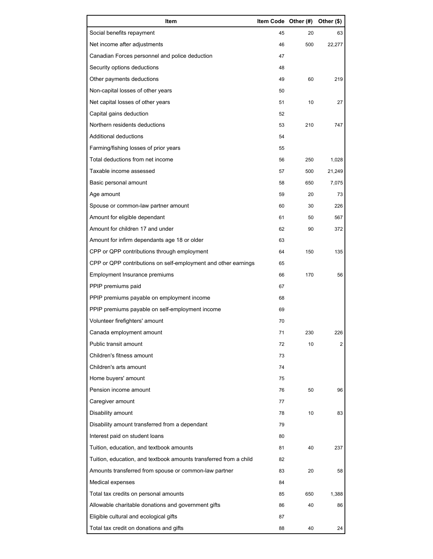| Item                                                              | Item Code Other (#) |     | Other (\$)     |
|-------------------------------------------------------------------|---------------------|-----|----------------|
| Social benefits repayment                                         | 45                  | 20  | 63             |
| Net income after adjustments                                      | 46                  | 500 | 22,277         |
| Canadian Forces personnel and police deduction                    | 47                  |     |                |
| Security options deductions                                       | 48                  |     |                |
| Other payments deductions                                         | 49                  | 60  | 219            |
| Non-capital losses of other years                                 | 50                  |     |                |
| Net capital losses of other years                                 | 51                  | 10  | 27             |
| Capital gains deduction                                           | 52                  |     |                |
| Northern residents deductions                                     | 53                  | 210 | 747            |
| Additional deductions                                             | 54                  |     |                |
| Farming/fishing losses of prior years                             | 55                  |     |                |
| Total deductions from net income                                  | 56                  | 250 | 1,028          |
| Taxable income assessed                                           | 57                  | 500 | 21,249         |
| Basic personal amount                                             | 58                  | 650 | 7,075          |
| Age amount                                                        | 59                  | 20  | 73             |
| Spouse or common-law partner amount                               | 60                  | 30  | 226            |
| Amount for eligible dependant                                     | 61                  | 50  | 567            |
| Amount for children 17 and under                                  | 62                  | 90  | 372            |
| Amount for infirm dependants age 18 or older                      | 63                  |     |                |
| CPP or QPP contributions through employment                       | 64                  | 150 | 135            |
| CPP or QPP contributions on self-employment and other earnings    | 65                  |     |                |
| Employment Insurance premiums                                     | 66                  | 170 | 56             |
| PPIP premiums paid                                                | 67                  |     |                |
| PPIP premiums payable on employment income                        | 68                  |     |                |
| PPIP premiums payable on self-employment income                   | 69                  |     |                |
| Volunteer firefighters' amount                                    | 70                  |     |                |
| Canada employment amount                                          | 71                  | 230 | 226            |
| Public transit amount                                             | 72                  | 10  | $\overline{2}$ |
| Children's fitness amount                                         | 73                  |     |                |
| Children's arts amount                                            | 74                  |     |                |
| Home buyers' amount                                               | 75                  |     |                |
| Pension income amount                                             | 76                  | 50  | 96             |
| Caregiver amount                                                  | 77                  |     |                |
| Disability amount                                                 | 78                  | 10  | 83             |
| Disability amount transferred from a dependant                    | 79                  |     |                |
| Interest paid on student loans                                    | 80                  |     |                |
| Tuition, education, and textbook amounts                          | 81                  | 40  | 237            |
| Tuition, education, and textbook amounts transferred from a child | 82                  |     |                |
| Amounts transferred from spouse or common-law partner             | 83                  | 20  | 58             |
| Medical expenses                                                  | 84                  |     |                |
| Total tax credits on personal amounts                             | 85                  | 650 | 1,388          |
| Allowable charitable donations and government gifts               | 86                  | 40  | 86             |
| Eligible cultural and ecological gifts                            | 87                  |     |                |
| Total tax credit on donations and gifts                           | 88                  | 40  | 24             |